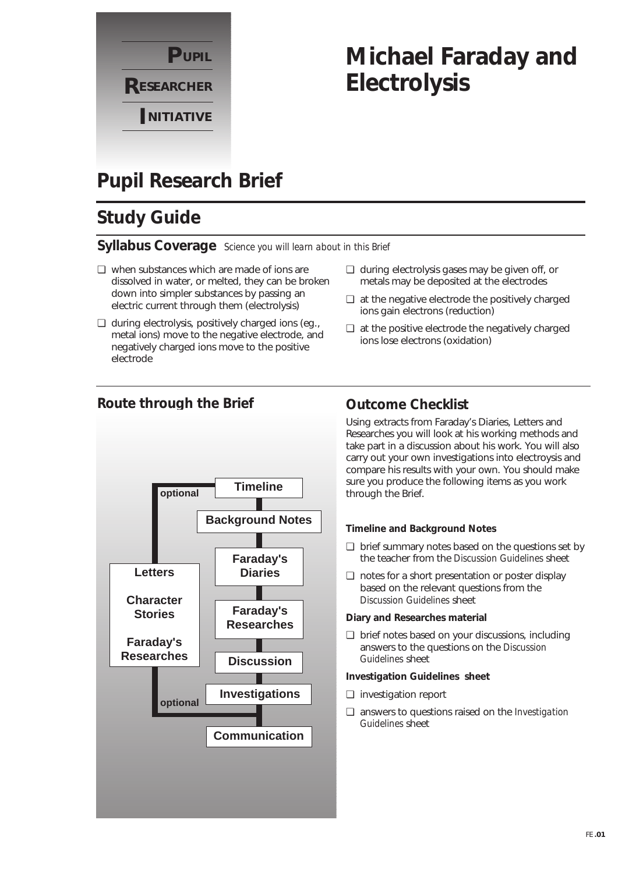

# **Michael Faraday and Electrolysis**

## **Pupil Research Brief**

## **Study Guide**

### **Syllabus Coverage** *Science you will learn about in this Brief*

- ❏ when substances which are made of ions are dissolved in water, or melted, they can be broken down into simpler substances by passing an electric current through them (electrolysis)
- ❏ during electrolysis, positively charged ions (eg., metal ions) move to the negative electrode, and negatively charged ions move to the positive electrode
- ❏ during electrolysis gases may be given off, or metals may be deposited at the electrodes
- ❏ at the negative electrode the positively charged ions gain electrons (reduction)
- ❏ at the positive electrode the negatively charged ions lose electrons (oxidation)



### **Route through the Brief Outcome Checklist**

Using extracts from Faraday's Diaries, Letters and Researches you will look at his working methods and take part in a discussion about his work. You will also carry out your own investigations into electroysis and compare his results with your own. You should make sure you produce the following items as you work through the Brief.

#### **Timeline and Background Notes**

- ❏ brief summary notes based on the questions set by the teacher from the *Discussion Guidelines* sheet
- ❏ notes for a short presentation or poster display based on the relevant questions from the *Discussion Guidelines* sheet

#### **Diary and Researches material**

❏ brief notes based on your discussions, including answers to the questions on the *Discussion Guidelines* sheet

#### **Investigation Guidelines sheet**

- ❏ investigation report
- ❏ answers to questions raised on the *Investigation Guidelines* sheet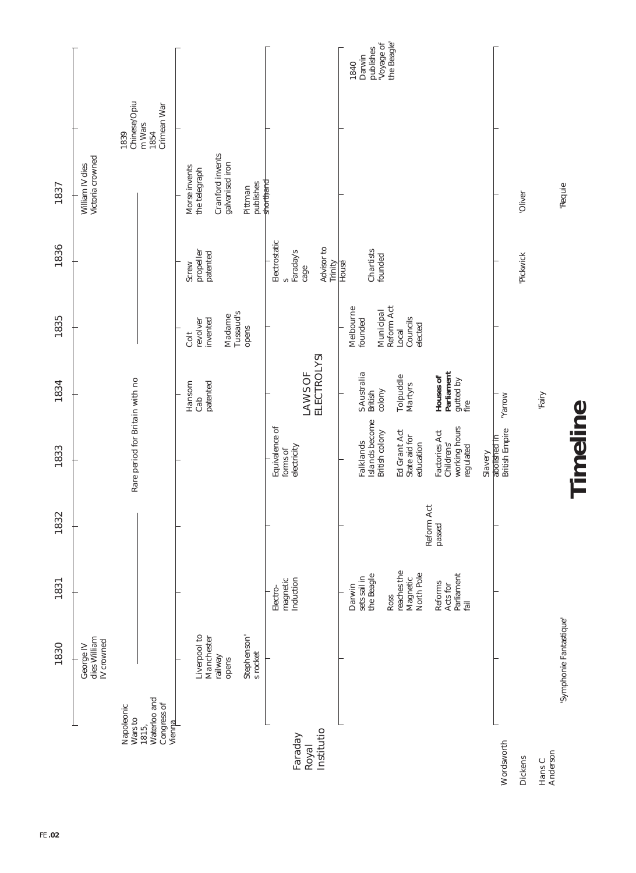|                                                                         | 1830                                                                      | 1831                                                                                             | 1832                 | 1833                                                                                                         | 1834                                                                  | 1835                                                                            | 1836                                                                             | 1837                                                                                          |                                                       |                                                         |
|-------------------------------------------------------------------------|---------------------------------------------------------------------------|--------------------------------------------------------------------------------------------------|----------------------|--------------------------------------------------------------------------------------------------------------|-----------------------------------------------------------------------|---------------------------------------------------------------------------------|----------------------------------------------------------------------------------|-----------------------------------------------------------------------------------------------|-------------------------------------------------------|---------------------------------------------------------|
|                                                                         | dies William<br>IV crowned<br>George IV                                   |                                                                                                  |                      |                                                                                                              |                                                                       |                                                                                 |                                                                                  | Victoria crowned<br>William IV dies                                                           |                                                       |                                                         |
| Waterloo and<br>Congress of<br>Napoleonic<br>Wars to<br>Vienna<br>1815, |                                                                           |                                                                                                  |                      | Rare period for Britain with no                                                                              |                                                                       |                                                                                 |                                                                                  |                                                                                               | Chinese/Opiu<br>Crimean War<br>m Wars<br>1839<br>1854 |                                                         |
|                                                                         | Liverpool to<br>Manchester<br>Stephenson'<br>s rocket<br>railway<br>opens |                                                                                                  |                      |                                                                                                              | Hansom<br>patented<br>Cab                                             | Tussaud's<br>Madame<br>invented<br>revolver<br>opens<br>Colt                    | propeller<br>patented<br>Screw                                                   | Cranford invents<br>galvanised iron<br>Morse invents<br>the telegraph<br>publishes<br>Pittman |                                                       |                                                         |
| Institutio<br>Faraday<br>Royal                                          |                                                                           | Induction<br>magnetic<br>Electro-                                                                |                      | Equivalence of<br>electricity<br>forms of                                                                    | ELECTROLYSI<br>LAWS OF                                                |                                                                                 | Electrostatic<br>Advisor to<br>Faraday's<br>Trinity<br>$c$ age<br>$\mathfrak{c}$ | shorthand                                                                                     |                                                       |                                                         |
|                                                                         |                                                                           | reaches the<br>North Pole<br>the Beagle<br>sets sail in<br>Magnetic<br>Reforms<br>Darwin<br>Ross | Reform Act<br>passed | Islands become<br>Factories Act<br>Ed Grant Act<br>British colony<br>State aid for<br>Falklands<br>education | S Australia<br>British<br>Tolpuddle<br>Houses of<br>Martyrs<br>colony | Reform Act<br>Melbourne<br>Municipal<br>Councils<br>founded<br>elected<br>Local | Chartists<br>founded<br>House                                                    |                                                                                               |                                                       | Voyage of<br>the Beagle'<br>publishes<br>Darwin<br>1840 |
|                                                                         |                                                                           | Parliament<br>Acts for<br>fail                                                                   |                      | working hours<br>regulated<br>Childrens'<br>Slavery                                                          | Parliament<br>gutted by<br>fire                                       |                                                                                 |                                                                                  |                                                                                               |                                                       |                                                         |
| Wordsworth                                                              |                                                                           |                                                                                                  |                      | British Empire<br>abolished in                                                                               | Woug <sub>K</sub>                                                     |                                                                                 |                                                                                  |                                                                                               |                                                       |                                                         |
| Dickens                                                                 |                                                                           |                                                                                                  |                      |                                                                                                              |                                                                       |                                                                                 | 'Pickwick                                                                        | 'Oliver                                                                                       |                                                       |                                                         |
| Anderson<br>Hans C                                                      |                                                                           |                                                                                                  |                      |                                                                                                              | 'Fairy                                                                |                                                                                 |                                                                                  |                                                                                               |                                                       |                                                         |
|                                                                         | Symphonie Fantastique                                                     |                                                                                                  |                      | Timeline                                                                                                     |                                                                       |                                                                                 |                                                                                  | 'Requie                                                                                       |                                                       |                                                         |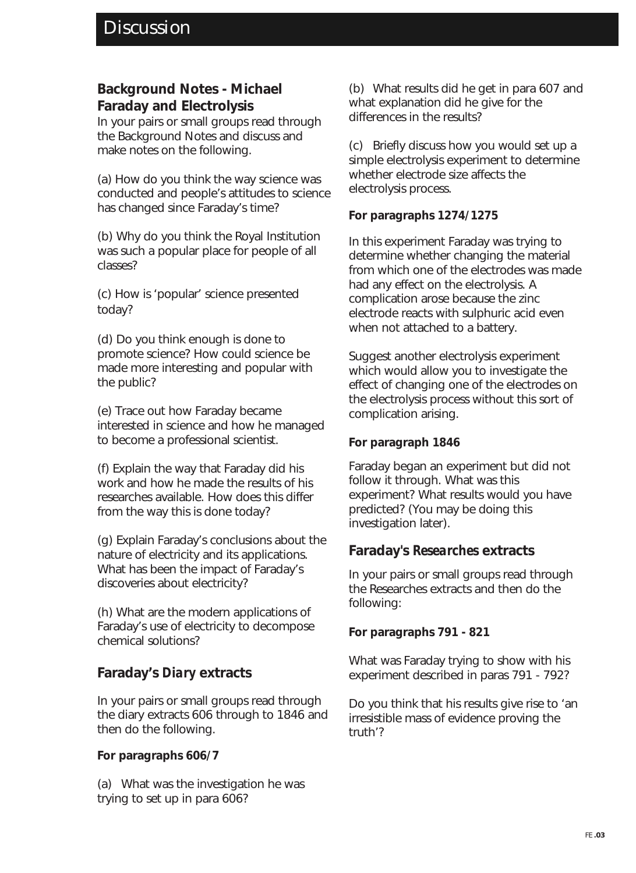### **Background Notes - Michael Faraday and Electrolysis**

In your pairs or small groups read through the Background Notes and discuss and make notes on the following.

(a) How do you think the way science was conducted and people's attitudes to science has changed since Faraday's time?

(b) Why do you think the Royal Institution was such a popular place for people of all classes?

(c) How is 'popular' science presented today?

(d) Do you think enough is done to promote science? How could science be made more interesting and popular with the public?

(e) Trace out how Faraday became interested in science and how he managed to become a professional scientist.

(f) Explain the way that Faraday did his work and how he made the results of his researches available. How does this differ from the way this is done today?

(g) Explain Faraday's conclusions about the nature of electricity and its applications. What has been the impact of Faraday's discoveries about electricity?

(h) What are the modern applications of Faraday's use of electricity to decompose chemical solutions?

### **Faraday's** *Diary* **extracts**

In your pairs or small groups read through the diary extracts 606 through to 1846 and then do the following.

### **For paragraphs 606/7**

(a) What was the investigation he was trying to set up in para 606?

(b) What results did he get in para 607 and what explanation did he give for the differences in the results?

(c) Briefly discuss how you would set up a simple electrolysis experiment to determine whether electrode size affects the electrolysis process.

### **For paragraphs 1274/1275**

In this experiment Faraday was trying to determine whether changing the material from which one of the electrodes was made had any effect on the electrolysis. A complication arose because the zinc electrode reacts with sulphuric acid even when not attached to a battery.

Suggest another electrolysis experiment which would allow you to investigate the effect of changing one of the electrodes on the electrolysis process without this sort of complication arising.

### **For paragraph 1846**

Faraday began an experiment but did not follow it through. What was this experiment? What results would you have predicted? (You may be doing this investigation later).

### **Faraday's** *Researches* **extracts**

In your pairs or small groups read through the Researches extracts and then do the following:

### **For paragraphs 791 - 821**

What was Faraday trying to show with his experiment described in paras 791 - 792?

Do you think that his results give rise to 'an irresistible mass of evidence proving the truth'?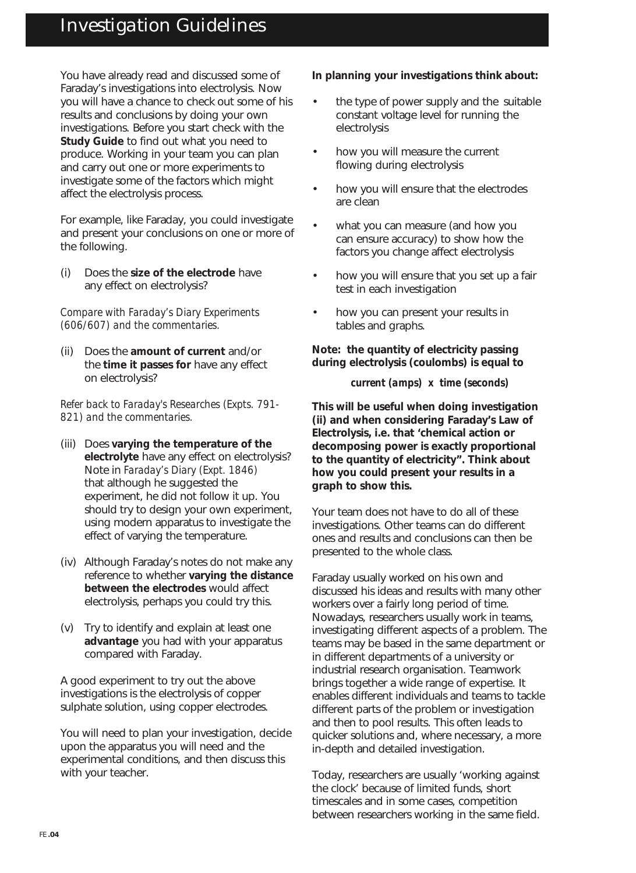## Investigation Guidelines

You have already read and discussed some of Faraday's investigations into electrolysis. Now you will have a chance to check out some of his results and conclusions by doing your own investigations. Before you start check with the **Study Guide** to find out what you need to produce. Working in your team you can plan and carry out one or more experiments to investigate some of the factors which might affect the electrolysis process.

For example, like Faraday, you could investigate and present your conclusions on one or more of the following.

(i) Does the **size of the electrode** have any effect on electrolysis?

*Compare with Faraday's Diary Experiments (606/607) and the commentaries.*

(ii) Does the **amount of current** and/or the **time it passes for** have any effect on electrolysis?

*Refer back to Faraday's Researches (Expts. 791- 821) and the commentaries.*

- (iii) Does **varying the temperature of the electrolyte** have any effect on electrolysis? Note in *Faraday's Diary (Expt. 1846)* that although he suggested the experiment, he did not follow it up. You should try to design your own experiment, using modern apparatus to investigate the effect of varying the temperature.
- (iv) Although Faraday's notes do not make any reference to whether **varying the distance between the electrodes** would affect electrolysis, perhaps you could try this.
- (v) Try to identify and explain at least one **advantage** you had with your apparatus compared with Faraday.

A good experiment to try out the above investigations is the electrolysis of copper sulphate solution, using copper electrodes.

You will need to plan your investigation, decide upon the apparatus you will need and the experimental conditions, and then discuss this with your teacher.

#### **In planning your investigations think about:**

- the type of power supply and the suitable constant voltage level for running the electrolysis
- how you will measure the current flowing during electrolysis
- how you will ensure that the electrodes are clean
- what you can measure (and how you can ensure accuracy) to show how the factors you change affect electrolysis
- how you will ensure that you set up a fair test in each investigation
- how you can present your results in tables and graphs.

**Note: the quantity of electricity passing during electrolysis (coulombs) is equal to**

*current (amps) x time (seconds)*

**This will be useful when doing investigation (ii) and when considering Faraday's Law of Electrolysis, i.e. that 'chemical action or decomposing power is exactly proportional to the quantity of electricity". Think about how you could present your results in a graph to show this.**

Your team does not have to do all of these investigations. Other teams can do different ones and results and conclusions can then be presented to the whole class.

Faraday usually worked on his own and discussed his ideas and results with many other workers over a fairly long period of time. Nowadays, researchers usually work in teams, investigating different aspects of a problem. The teams may be based in the same department or in different departments of a university or industrial research organisation. Teamwork brings together a wide range of expertise. It enables different individuals and teams to tackle different parts of the problem or investigation and then to pool results. This often leads to quicker solutions and, where necessary, a more in-depth and detailed investigation.

Today, researchers are usually 'working against the clock' because of limited funds, short timescales and in some cases, competition between researchers working in the same field.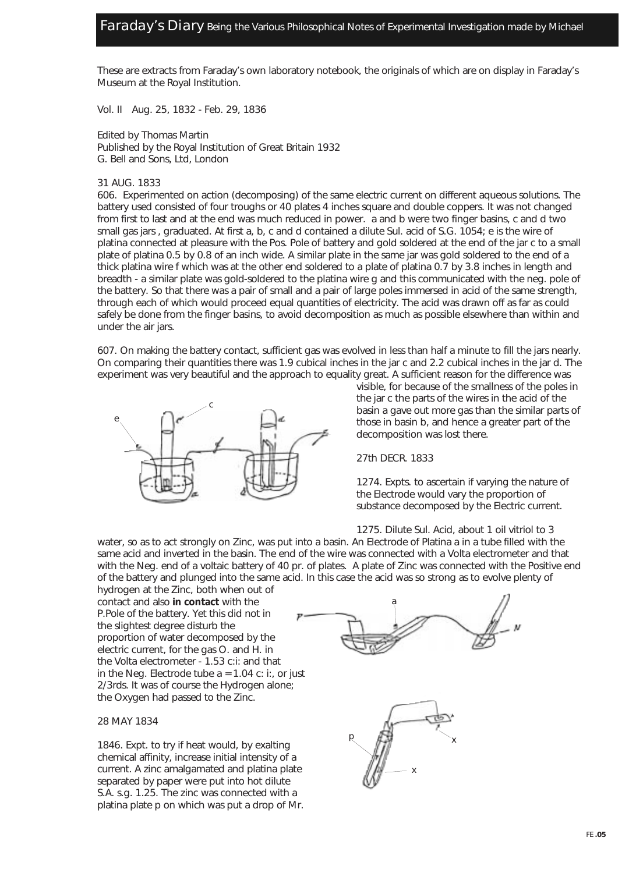These are extracts from Faraday's own laboratory notebook, the originals of which are on display in Faraday's Museum at the Royal Institution.

Vol. II Aug. 25, 1832 - Feb. 29, 1836

Edited by Thomas Martin Published by the Royal Institution of Great Britain 1932 G. Bell and Sons, Ltd, London

#### 31 AUG. 1833

606. Experimented on action (decomposing) of the same electric current on different aqueous solutions. The battery used consisted of four troughs or 40 plates 4 inches square and double coppers. It was not changed from first to last and at the end was much reduced in power. a and b were two finger basins, c and d two small gas jars , graduated. At first a, b, c and d contained a dilute Sul. acid of S.G. 1054; e is the wire of platina connected at pleasure with the Pos. Pole of battery and gold soldered at the end of the jar c to a small plate of platina 0.5 by 0.8 of an inch wide. A similar plate in the same jar was gold soldered to the end of a thick platina wire f which was at the other end soldered to a plate of platina 0.7 by 3.8 inches in length and breadth - a similar plate was gold-soldered to the platina wire g and this communicated with the neg. pole of the battery. So that there was a pair of small and a pair of large poles immersed in acid of the same strength, through each of which would proceed equal quantities of electricity. The acid was drawn off as far as could safely be done from the finger basins, to avoid decomposition as much as possible elsewhere than within and under the air jars.

607. On making the battery contact, sufficient gas was evolved in less than half a minute to fill the jars nearly. On comparing their quantities there was 1.9 cubical inches in the jar c and 2.2 cubical inches in the jar d. The experiment was very beautiful and the approach to equality great. A sufficient reason for the difference was



visible, for because of the smallness of the poles in the jar c the parts of the wires in the acid of the basin a gave out more gas than the similar parts of those in basin b, and hence a greater part of the decomposition was lost there.

27th DECR. 1833

1274. Expts. to ascertain if varying the nature of the Electrode would vary the proportion of substance decomposed by the Electric current.

1275. Dilute Sul. Acid, about 1 oil vitriol to 3

water, so as to act strongly on Zinc, was put into a basin. An Electrode of Platina a in a tube filled with the same acid and inverted in the basin. The end of the wire was connected with a Volta electrometer and that with the Neg. end of a voltaic battery of 40 pr. of plates. A plate of Zinc was connected with the Positive end of the battery and plunged into the same acid. In this case the acid was so strong as to evolve plenty of

hydrogen at the Zinc, both when out of contact and also **in contact** with the P.Pole of the battery. Yet this did not in the slightest degree disturb the proportion of water decomposed by the electric current, for the gas O. and H. in the Volta electrometer - 1.53 c:i: and that in the Neg. Electrode tube  $a = 1.04$  c: i:, or just 2/3rds. It was of course the Hydrogen alone; the Oxygen had passed to the Zinc.

#### 28 MAY 1834

1846. Expt. to try if heat would, by exalting chemical affinity, increase initial intensity of a current. A zinc amalgamated and platina plate separated by paper were put into hot dilute S.A. s.g. 1.25. The zinc was connected with a platina plate p on which was put a drop of Mr.



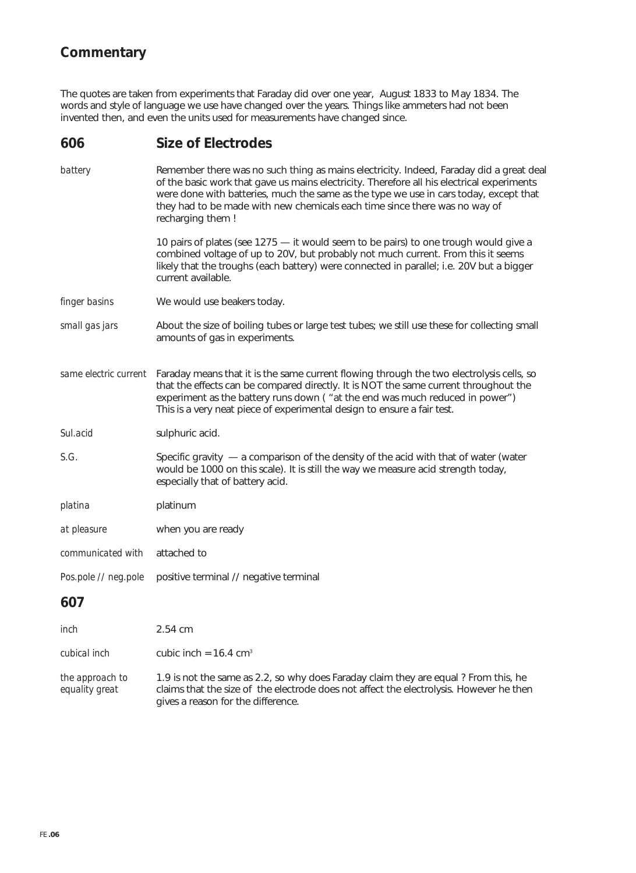### **Commentary**

The quotes are taken from experiments that Faraday did over one year, August 1833 to May 1834. The words and style of language we use have changed over the years. Things like ammeters had not been invented then, and even the units used for measurements have changed since.

### **606 Size of Electrodes**

| battery              | Remember there was no such thing as mains electricity. Indeed, Faraday did a great deal<br>of the basic work that gave us mains electricity. Therefore all his electrical experiments<br>were done with batteries, much the same as the type we use in cars today, except that<br>they had to be made with new chemicals each time since there was no way of<br>recharging them ! |  |
|----------------------|-----------------------------------------------------------------------------------------------------------------------------------------------------------------------------------------------------------------------------------------------------------------------------------------------------------------------------------------------------------------------------------|--|
|                      | 10 pairs of plates (see 1275 - it would seem to be pairs) to one trough would give a<br>combined voltage of up to 20V, but probably not much current. From this it seems<br>likely that the troughs (each battery) were connected in parallel; i.e. 20V but a bigger<br>current available.                                                                                        |  |
| finger basins        | We would use beakers today.                                                                                                                                                                                                                                                                                                                                                       |  |
| small gas jars       | About the size of boiling tubes or large test tubes; we still use these for collecting small<br>amounts of gas in experiments.                                                                                                                                                                                                                                                    |  |
|                      | same electric current Faraday means that it is the same current flowing through the two electrolysis cells, so<br>that the effects can be compared directly. It is NOT the same current throughout the<br>experiment as the battery runs down ("at the end was much reduced in power")<br>This is a very neat piece of experimental design to ensure a fair test.                 |  |
| Sul.acid             | sulphuric acid.                                                                                                                                                                                                                                                                                                                                                                   |  |
| S.G.                 | Specific gravity $-$ a comparison of the density of the acid with that of water (water<br>would be 1000 on this scale). It is still the way we measure acid strength today,<br>especially that of battery acid.                                                                                                                                                                   |  |
| platina              | platinum                                                                                                                                                                                                                                                                                                                                                                          |  |
| at pleasure          | when you are ready                                                                                                                                                                                                                                                                                                                                                                |  |
| communicated with    | attached to                                                                                                                                                                                                                                                                                                                                                                       |  |
| Pos.pole // neg.pole | positive terminal // negative terminal                                                                                                                                                                                                                                                                                                                                            |  |
| 607                  |                                                                                                                                                                                                                                                                                                                                                                                   |  |
| inch                 | 2.54 cm                                                                                                                                                                                                                                                                                                                                                                           |  |
| cubical inch         | cubic inch = $16.4 \text{ cm}^3$                                                                                                                                                                                                                                                                                                                                                  |  |
|                      |                                                                                                                                                                                                                                                                                                                                                                                   |  |

*the approach to* 1.9 is not the same as 2.2, so why does Faraday claim they are equal ? From this, he *equality great* claims that the size of the electrode does not affect the electrolysis. However he then gives a reason for the difference.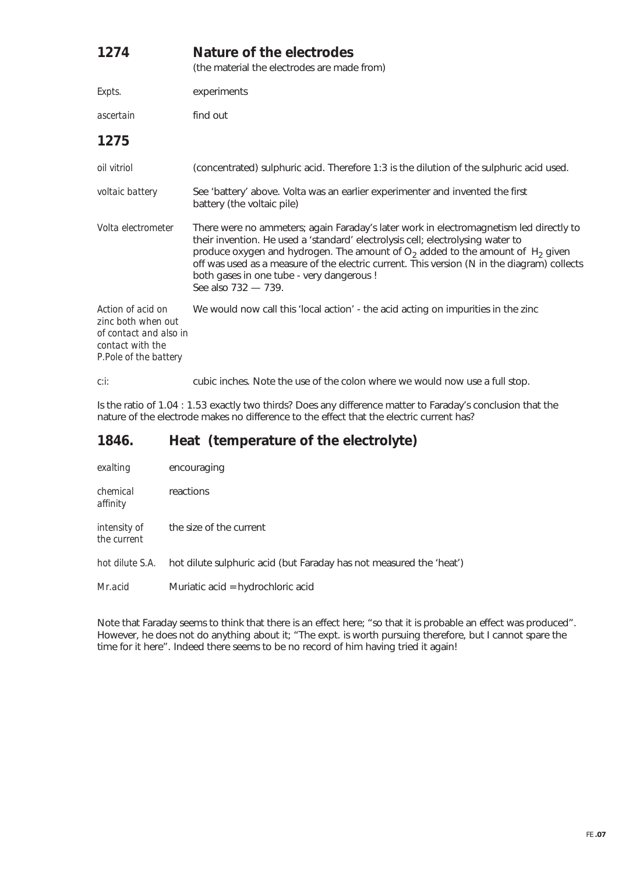| 1274                                                                                                           | Nature of the electrodes<br>(the material the electrodes are made from)                                                                                                                                                                                                                                                                                                                                                                     |
|----------------------------------------------------------------------------------------------------------------|---------------------------------------------------------------------------------------------------------------------------------------------------------------------------------------------------------------------------------------------------------------------------------------------------------------------------------------------------------------------------------------------------------------------------------------------|
| Expts.                                                                                                         | experiments                                                                                                                                                                                                                                                                                                                                                                                                                                 |
| ascertain                                                                                                      | find out                                                                                                                                                                                                                                                                                                                                                                                                                                    |
| 1275                                                                                                           |                                                                                                                                                                                                                                                                                                                                                                                                                                             |
| oil vitriol                                                                                                    | (concentrated) sulphuric acid. Therefore 1:3 is the dilution of the sulphuric acid used.                                                                                                                                                                                                                                                                                                                                                    |
| voltaic battery                                                                                                | See 'battery' above. Volta was an earlier experimenter and invented the first<br>battery (the voltaic pile)                                                                                                                                                                                                                                                                                                                                 |
| Volta electrometer                                                                                             | There were no ammeters; again Faraday's later work in electromagnetism led directly to<br>their invention. He used a 'standard' electrolysis cell; electrolysing water to<br>produce oxygen and hydrogen. The amount of $O2$ added to the amount of H <sub>2</sub> given<br>off was used as a measure of the electric current. This version (N in the diagram) collects<br>both gases in one tube - very dangerous !<br>See also 732 - 739. |
| Action of acid on<br>zinc both when out<br>of contact and also in<br>contact with the<br>P.Pole of the battery | We would now call this 'local action' - the acid acting on impurities in the zinc                                                                                                                                                                                                                                                                                                                                                           |
| c:i:                                                                                                           | cubic inches. Note the use of the colon where we would now use a full stop.                                                                                                                                                                                                                                                                                                                                                                 |

Is the ratio of 1.04 : 1.53 exactly two thirds? Does any difference matter to Faraday's conclusion that the nature of the electrode makes no difference to the effect that the electric current has?

### **1846. Heat (temperature of the electrolyte)**

| exalting                    | encouraging                                                         |
|-----------------------------|---------------------------------------------------------------------|
| chemical<br>affinity        | reactions                                                           |
| intensity of<br>the current | the size of the current                                             |
| hot dilute S.A.             | hot dilute sulphuric acid (but Faraday has not measured the 'heat') |
| Mr.acid                     | Muriatic acid = hydrochloric acid                                   |

Note that Faraday seems to think that there is an effect here; "so that it is probable an effect was produced". However, he does not do anything about it; "The expt. is worth pursuing therefore, but I cannot spare the time for it here". Indeed there seems to be no record of him having tried it again!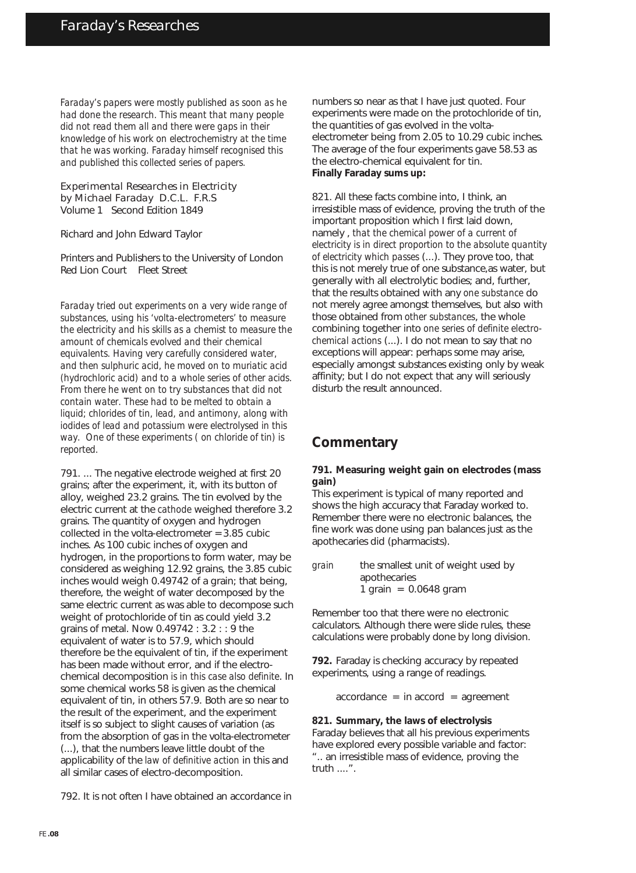*Faraday's papers were mostly published as soon as he had done the research. This meant that many people did not read them all and there were gaps in their knowledge of his work on electrochemistry at the time that he was working. Faraday himself recognised this and published this collected series of papers.*

Experimental Researches in Electricity by Michael Faraday D.C.L. F.R.S Volume 1 Second Edition 1849

Richard and John Edward Taylor

Printers and Publishers to the University of London Red Lion Court Fleet Street

*Faraday tried out experiments on a very wide range of substances, using his 'volta-electrometers' to measure the electricity and his skills as a chemist to measure the amount of chemicals evolved and their chemical equivalents. Having very carefully considered water, and then sulphuric acid, he moved on to muriatic acid (hydrochloric acid) and to a whole series of other acids. From there he went on to try substances that did not contain water. These had to be melted to obtain a liquid; chlorides of tin, lead, and antimony, along with iodides of lead and potassium were electrolysed in this way. One of these experiments ( on chloride of tin) is reported.*

791. ... The negative electrode weighed at first 20 grains; after the experiment, it, with its button of alloy, weighed 23.2 grains. The tin evolved by the electric current at the *cathode* weighed therefore 3.2 grains. The quantity of oxygen and hydrogen collected in the volta-electrometer = 3.85 cubic inches. As 100 cubic inches of oxygen and hydrogen, in the proportions to form water, may be considered as weighing 12.92 grains, the 3.85 cubic inches would weigh 0.49742 of a grain; that being, therefore, the weight of water decomposed by the same electric current as was able to decompose such weight of protochloride of tin as could yield 3.2 grains of metal. Now 0.49742 : 3.2 : : 9 the equivalent of water is to 57.9, which should therefore be the equivalent of tin, if the experiment has been made without error, and if the electrochemical decomposition *is in this case also definite*. In some chemical works 58 is given as the chemical equivalent of tin, in others 57.9. Both are so near to the result of the experiment, and the experiment itself is so subject to slight causes of variation (as from the absorption of gas in the volta-electrometer (...), that the numbers leave little doubt of the applicability of the *law of definitive action* in this and all similar cases of electro-decomposition.

792. It is not often I have obtained an accordance in

numbers so near as that I have just quoted. Four experiments were made on the protochloride of tin, the quantities of gas evolved in the voltaelectrometer being from 2.05 to 10.29 cubic inches. The average of the four experiments gave 58.53 as the electro-chemical equivalent for tin. **Finally Faraday sums up:**

821. All these facts combine into, I think, an irresistible mass of evidence, proving the truth of the important proposition which I first laid down, namely , *that the chemical power of a current of electricity is in direct proportion to the absolute quantity of electricity which passes* (...). They prove too, that this is not merely true of one substance,as water, but generally with all electrolytic bodies; and, further, that the results obtained with any *one substance* do not merely agree amongst themselves, but also with those obtained from *other substances*, the whole combining together into *one series of definite electrochemical actions* (...). I do not mean to say that no exceptions will appear: perhaps some may arise, especially amongst substances existing only by weak affinity; but I do not expect that any will seriously disturb the result announced.

### **Commentary**

#### **791. Measuring weight gain on electrodes (mass gain)**

This experiment is typical of many reported and shows the high accuracy that Faraday worked to. Remember there were no electronic balances, the fine work was done using pan balances just as the apothecaries did (pharmacists).

Remember too that there were no electronic calculators. Although there were slide rules, these calculations were probably done by long division.

**792.** Faraday is checking accuracy by repeated experiments, using a range of readings.

 $accordance = in accord = agreement$ 

**821. Summary, the laws of electrolysis** Faraday believes that all his previous experiments have explored every possible variable and factor: ".. an irresistible mass of evidence, proving the truth ....".

*grain* the smallest unit of weight used by apothecaries 1 grain =  $0.0648$  gram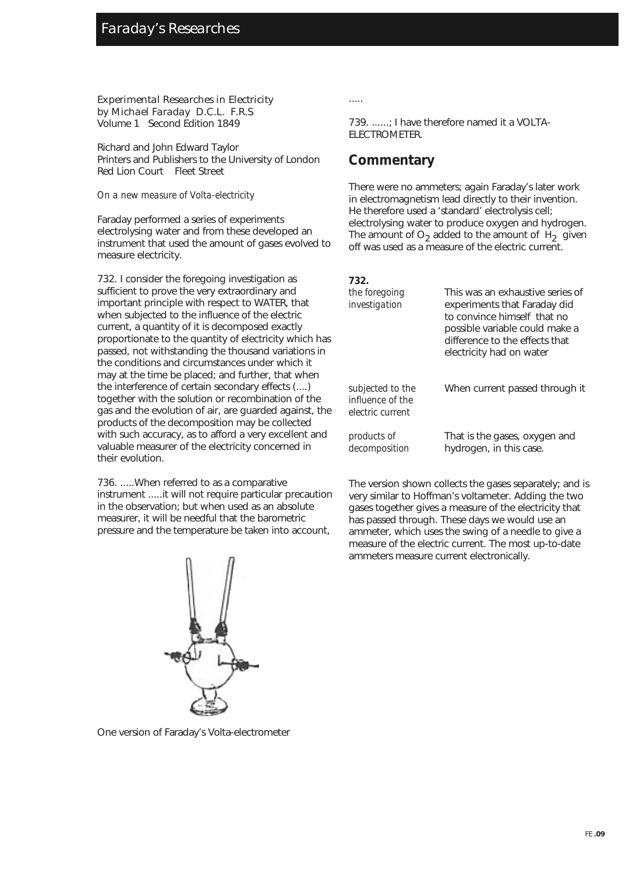Experimental Researches in Electricity by Michael Faraday D.C.L. F.R.S Volume 1 Second Edition 1849

Richard and John Edward Taylor Printers and Publishers to the University of London Red Lion Court Fleet Street

#### *On a new measure of Volta-electricity*

Faraday performed a series of experiments electrolysing water and from these developed an instrument that used the amount of gases evolved to measure electricity.

732. I consider the foregoing investigation as sufficient to prove the very extraordinary and important principle with respect to WATER, that when subjected to the influence of the electric current, a quantity of it is decomposed exactly proportionate to the quantity of electricity which has passed, not withstanding the thousand variations in the conditions and circumstances under which it may at the time be placed; and further, that when the interference of certain secondary effects (....) together with the solution or recombination of the gas and the evolution of air, are guarded against, the products of the decomposition may be collected with such accuracy, as to afford a very excellent and valuable measurer of the electricity concerned in their evolution.

736. .....When referred to as a comparative instrument .....it will not require particular precaution in the observation; but when used as an absolute measurer, it will be needful that the barometric pressure and the temperature be taken into account,



One version of Faraday's Volta-electrometer

.....

739. ......; I have therefore named it a VOLTA-ELECTROMETER.

### **Commentary**

There were no ammeters; again Faraday's later work in electromagnetism lead directly to their invention. He therefore used a 'standard' electrolysis cell; electrolysing water to produce oxygen and hydrogen. The amount of  $O<sub>2</sub>$  added to the amount of H<sub>2</sub> given off was used as a measure of the electric current.

| 732.                                                     |                                                                                                                                                                                                 |
|----------------------------------------------------------|-------------------------------------------------------------------------------------------------------------------------------------------------------------------------------------------------|
| the foregoing<br>investigation                           | This was an exhaustive series of<br>experiments that Faraday did<br>to convince himself that no<br>possible variable could make a<br>difference to the effects that<br>electricity had on water |
| subjected to the<br>influence of the<br>electric current | When current passed through it                                                                                                                                                                  |
| products of<br>decomposition                             | That is the gases, oxygen and<br>hydrogen, in this case.                                                                                                                                        |

The version shown collects the gases separately; and is very similar to Hoffman's voltameter. Adding the two gases together gives a measure of the electricity that has passed through. These days we would use an ammeter, which uses the swing of a needle to give a measure of the electric current. The most up-to-date ammeters measure current electronically.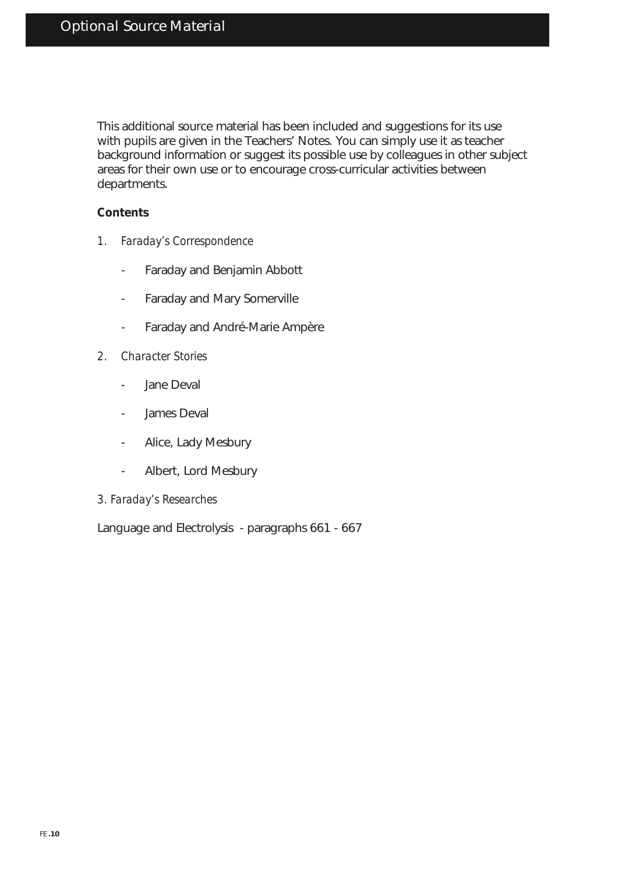This additional source material has been included and suggestions for its use with pupils are given in the Teachers' Notes. You can simply use it as teacher background information or suggest its possible use by colleagues in other subject areas for their own use or to encourage cross-curricular activities between departments.

### **Contents**

- *1. Faraday's Correspondence*
	- Faraday and Benjamin Abbott
	- Faraday and Mary Somerville
	- Faraday and André-Marie Ampère
- *2. Character Stories*
	- Jane Deval
	- James Deval
	- Alice, Lady Mesbury
	- Albert, Lord Mesbury
- *3. Faraday's Researches*

Language and Electrolysis - paragraphs 661 - 667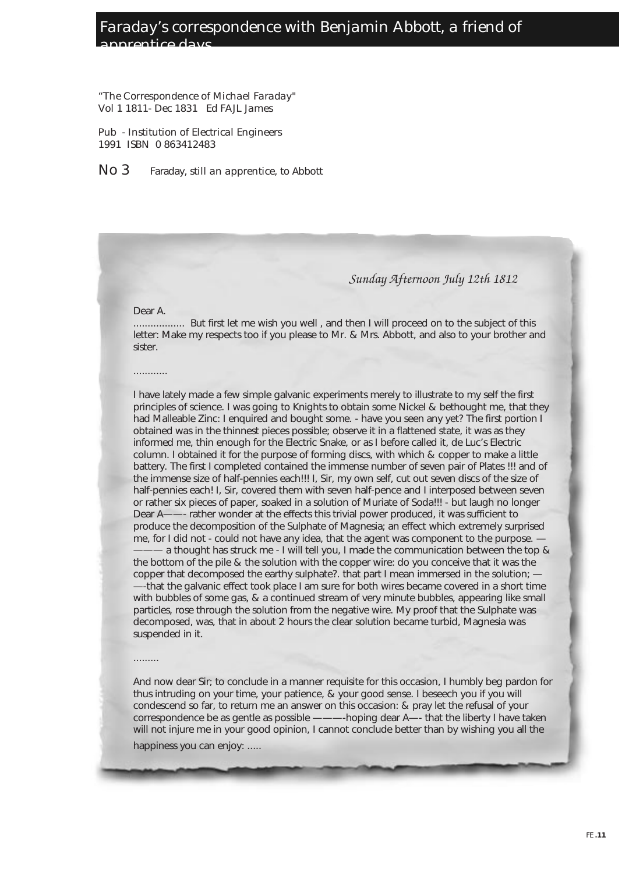### Faraday's correspondence with Benjamin Abbott, a friend of apprentice days

"The Correspondence of Michael Faraday" Vol 1 1811- Dec 1831 Ed FAJL James

Pub - Institution of Electrical Engineers 1991 ISBN 0 863412483

No 3 Faraday, still an apprentice, to Abbott

#### Sunday Afternoon July 12th 1812

#### Dear A.

............

.................. But first let me wish you well , and then I will proceed on to the subject of this letter: Make my respects too if you please to Mr. & Mrs. Abbott, and also to your brother and sister.

I have lately made a few simple galvanic experiments merely to illustrate to my self the first principles of science. I was going to Knights to obtain some Nickel & bethought me, that they had Malleable Zinc: I enquired and bought some. - have you seen any yet? The first portion I obtained was in the thinnest pieces possible; observe it in a flattened state, it was as they informed me, thin enough for the Electric Snake, or as I before called it, de Luc's Electric column. I obtained it for the purpose of forming discs, with which & copper to make a little battery. The first I completed contained the immense number of seven pair of Plates !!! and of the immense size of half-pennies each!!! I, Sir, my own self, cut out seven discs of the size of half-pennies each! I, Sir, covered them with seven half-pence and I interposed between seven or rather six pieces of paper, soaked in a solution of Muriate of Soda!!! - but laugh no longer Dear A——- rather wonder at the effects this trivial power produced, it was sufficient to produce the decomposition of the Sulphate of Magnesia; an effect which extremely surprised me, for I did not - could not have any idea, that the agent was component to the purpose. a thought has struck me - I will tell you, I made the communication between the top & the bottom of the pile & the solution with the copper wire: do you conceive that it was the copper that decomposed the earthy sulphate?. that part I mean immersed in the solution; — —-that the galvanic effect took place I am sure for both wires became covered in a short time with bubbles of some gas, & a continued stream of very minute bubbles, appearing like small particles, rose through the solution from the negative wire. My proof that the Sulphate was decomposed, was, that in about 2 hours the clear solution became turbid, Magnesia was suspended in it.

#### .........

And now dear Sir; to conclude in a manner requisite for this occasion, I humbly beg pardon for thus intruding on your time, your patience, & your good sense. I beseech you if you will condescend so far, to return me an answer on this occasion: & pray let the refusal of your correspondence be as gentle as possible ———-hoping dear A—- that the liberty I have taken will not injure me in your good opinion, I cannot conclude better than by wishing you all the happiness you can enjoy: .....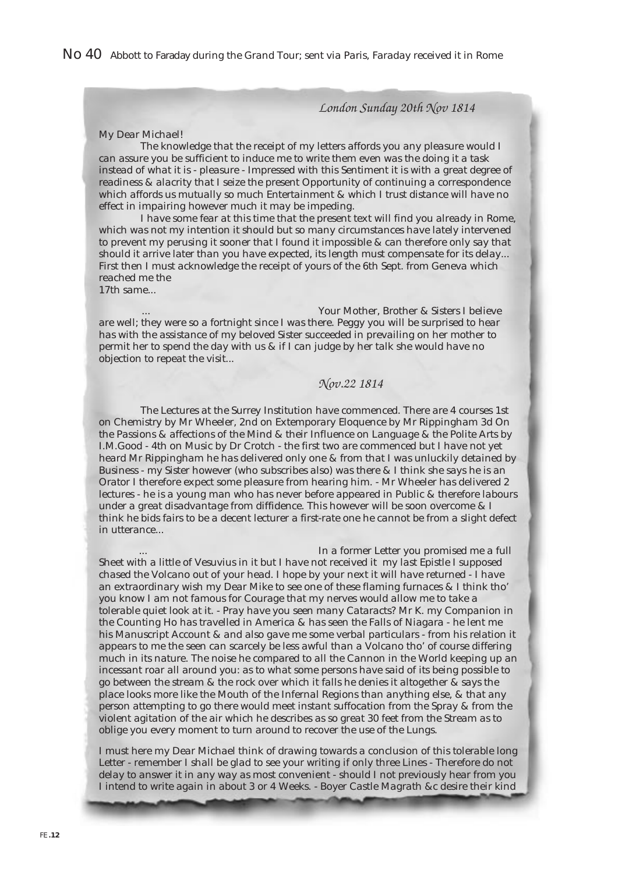No 40 Abbott to Faraday during the Grand Tour; sent via Paris, Faraday received it in Rome

London Sunday 20th Nov 1814

#### My Dear Michael!

The knowledge that the receipt of my letters affords you any pleasure would I can assure you be sufficient to induce me to write them even was the doing it a task instead of what it is - pleasure - Impressed with this Sentiment it is with a great degree of readiness & alacrity that I seize the present Opportunity of continuing a correspondence which affords us mutually so much Entertainment & which I trust distance will have no effect in impairing however much it may be impeding.

I have some fear at this time that the present text will find you already in Rome, which was not my intention it should but so many circumstances have lately intervened to prevent my perusing it sooner that I found it impossible & can therefore only say that should it arrive later than you have expected, its length must compensate for its delay... First then I must acknowledge the receipt of yours of the 6th Sept. from Geneva which reached me the 17th same...

Your Mother, Brother & Sisters I believe are well; they were so a fortnight since I was there. Peggy you will be surprised to hear has with the assistance of my beloved Sister succeeded in prevailing on her mother to permit her to spend the day with us & if I can judge by her talk she would have no objection to repeat the visit...

### Nov.22 1814

The Lectures at the Surrey Institution have commenced. There are 4 courses 1st on Chemistry by Mr Wheeler, 2nd on Extemporary Eloquence by Mr Rippingham 3d On the Passions & affections of the Mind & their Influence on Language & the Polite Arts by I.M.Good - 4th on Music by Dr Crotch - the first two are commenced but I have not yet heard Mr Rippingham he has delivered only one & from that I was unluckily detained by Business - my Sister however (who subscribes also) was there & I think she says he is an Orator I therefore expect some pleasure from hearing him. - Mr Wheeler has delivered 2 lectures - he is a young man who has never before appeared in Public & therefore labours under a great disadvantage from diffidence. This however will be soon overcome & I think he bids fairs to be a decent lecturer a first-rate one he cannot be from a slight defect in utterance...

In a former Letter you promised me a full Sheet with a little of Vesuvius in it but I have not received it my last Epistle I supposed chased the Volcano out of your head. I hope by your next it will have returned - I have an extraordinary wish my Dear Mike to see one of these flaming furnaces & I think tho' you know I am not famous for Courage that my nerves would allow me to take a tolerable quiet look at it. - Pray have you seen many Cataracts? Mr K. my Companion in the Counting Ho has travelled in America & has seen the Falls of Niagara - he lent me his Manuscript Account & and also gave me some verbal particulars - from his relation it appears to me the seen can scarcely be less awful than a Volcano tho' of course differing much in its nature. The noise he compared to all the Cannon in the World keeping up an incessant roar all around you: as to what some persons have said of its being possible to go between the stream & the rock over which it falls he denies it altogether & says the place looks more like the Mouth of the Infernal Regions than anything else, & that any person attempting to go there would meet instant suffocation from the Spray & from the violent agitation of the air which he describes as so great 30 feet from the Stream as to oblige you every moment to turn around to recover the use of the Lungs.

I must here my Dear Michael think of drawing towards a conclusion of this tolerable long Letter - remember I shall be glad to see your writing if only three Lines - Therefore do not delay to answer it in any way as most convenient - should I not previously hear from you I intend to write again in about 3 or 4 Weeks. - Boyer Castle Magrath &c desire their kind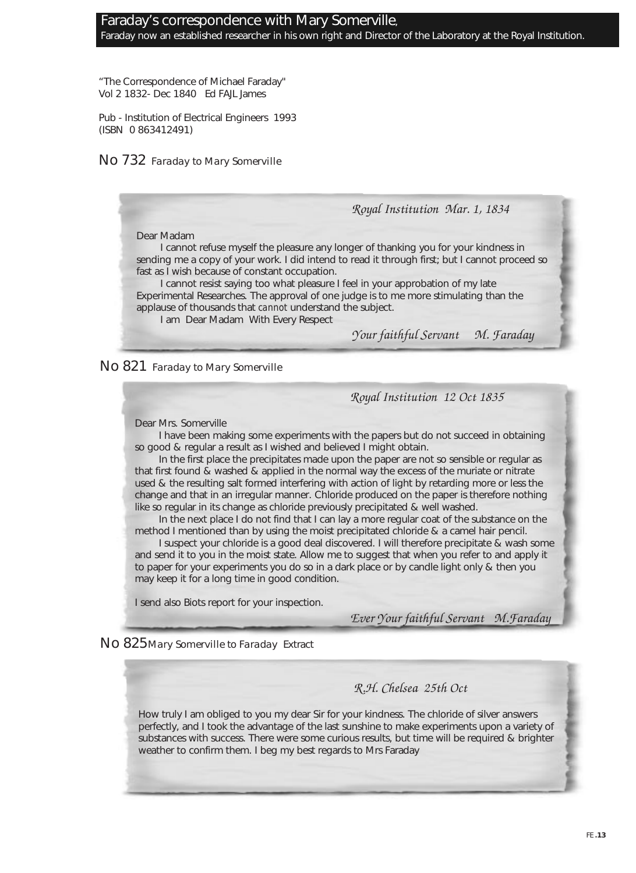#### Faraday's correspondence with Mary Somerville, Faraday now an established researcher in his own right and Director of the Laboratory at the Royal Institution.

"The Correspondence of Michael Faraday" Vol 2 1832- Dec 1840 Ed FAJL James

Pub - Institution of Electrical Engineers 1993 (ISBN 0 863412491)

### No 732 Faraday to Mary Somerville

Royal Institution Mar. 1, 1834

Dear Madam

I cannot refuse myself the pleasure any longer of thanking you for your kindness in sending me a copy of your work. I did intend to read it through first; but I cannot proceed so fast as I wish because of constant occupation.

I cannot resist saying too what pleasure I feel in your approbation of my late Experimental Researches. The approval of one judge is to me more stimulating than the applause of thousands that *cannot* understand the subject.

I am Dear Madam With Every Respect

Your faithful Servant M. Faraday

No 821 Faraday to Mary Somerville

Royal Institution 12 Oct 1835

Dear Mrs. Somerville

I have been making some experiments with the papers but do not succeed in obtaining so good & regular a result as I wished and believed I might obtain.

In the first place the precipitates made upon the paper are not so sensible or regular as that first found & washed & applied in the normal way the excess of the muriate or nitrate used & the resulting salt formed interfering with action of light by retarding more or less the change and that in an irregular manner. Chloride produced on the paper is therefore nothing like so regular in its change as chloride previously precipitated & well washed.

In the next place I do not find that I can lay a more regular coat of the substance on the method I mentioned than by using the moist precipitated chloride & a camel hair pencil.

I suspect your chloride is a good deal discovered. I will therefore precipitate & wash some and send it to you in the moist state. Allow me to suggest that when you refer to and apply it to paper for your experiments you do so in a dark place or by candle light only & then you may keep it for a long time in good condition.

I send also Biots report for your inspection.

Ever Your faithful Servant M.Faraday

No 825 Mary Somerville to Faraday Extract

### R.H. Chelsea 25th Oct

How truly I am obliged to you my dear Sir for your kindness. The chloride of silver answers perfectly, and I took the advantage of the last sunshine to make experiments upon a variety of substances with success. There were some curious results, but time will be required & brighter weather to confirm them. I beg my best regards to Mrs Faraday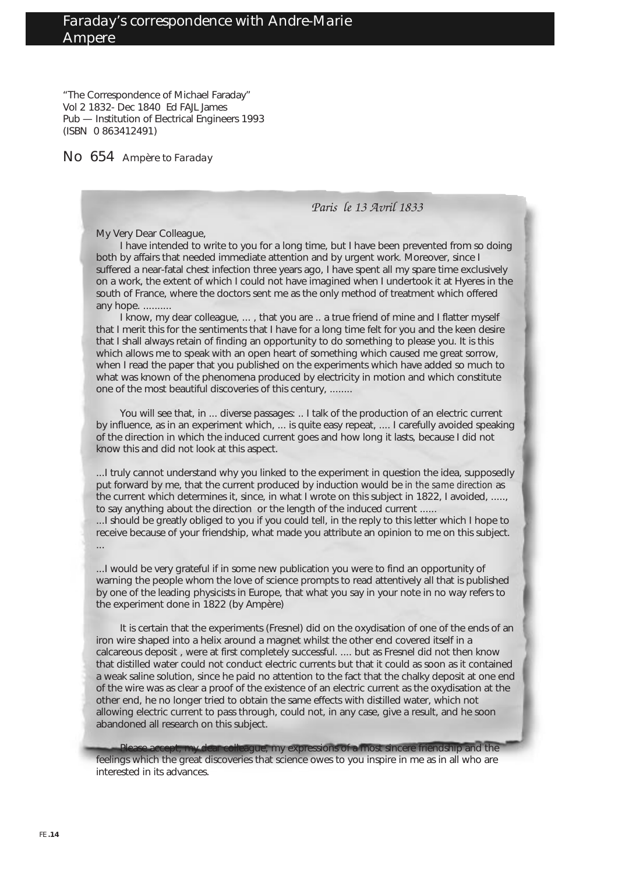"The Correspondence of Michael Faraday" Vol 2 1832- Dec 1840 Ed FAJL James Pub — Institution of Electrical Engineers 1993 (ISBN 0 863412491)

No 654 Ampère to Faraday

#### Paris le 13 Avril 1833

My Very Dear Colleague,

I have intended to write to you for a long time, but I have been prevented from so doing both by affairs that needed immediate attention and by urgent work. Moreover, since I suffered a near-fatal chest infection three years ago, I have spent all my spare time exclusively on a work, the extent of which I could not have imagined when I undertook it at Hyeres in the south of France, where the doctors sent me as the only method of treatment which offered any hope. ..........

I know, my dear colleague, ..., that you are .. a true friend of mine and I flatter myself that I merit this for the sentiments that I have for a long time felt for you and the keen desire that I shall always retain of finding an opportunity to do something to please you. It is this which allows me to speak with an open heart of something which caused me great sorrow, when I read the paper that you published on the experiments which have added so much to what was known of the phenomena produced by electricity in motion and which constitute one of the most beautiful discoveries of this century, ........

You will see that, in ... diverse passages: .. I talk of the production of an electric current by influence, as in an experiment which, ... is quite easy repeat, .... I carefully avoided speaking of the direction in which the induced current goes and how long it lasts, because I did not know this and did not look at this aspect.

...I truly cannot understand why you linked to the experiment in question the idea, supposedly put forward by me, that the current produced by induction would be *in the same direction* as the current which determines it, since, in what I wrote on this subject in 1822, I avoided, ....., to say anything about the direction or the length of the induced current ......

...I should be greatly obliged to you if you could tell, in the reply to this letter which I hope to receive because of your friendship, what made you attribute an opinion to me on this subject. ...

...I would be very grateful if in some new publication you were to find an opportunity of warning the people whom the love of science prompts to read attentively all that is published by one of the leading physicists in Europe, that what you say in your note in no way refers to the experiment done in 1822 (by Ampère)

It is certain that the experiments (Fresnel) did on the oxydisation of one of the ends of an iron wire shaped into a helix around a magnet whilst the other end covered itself in a calcareous deposit , were at first completely successful. .... but as Fresnel did not then know that distilled water could not conduct electric currents but that it could as soon as it contained a weak saline solution, since he paid no attention to the fact that the chalky deposit at one end of the wire was as clear a proof of the existence of an electric current as the oxydisation at the other end, he no longer tried to obtain the same effects with distilled water, which not allowing electric current to pass through, could not, in any case, give a result, and he soon abandoned all research on this subject.

dear colleague, my expressions of a most sincere friendship and the feelings which the great discoveries that science owes to you inspire in me as in all who are interested in its advances.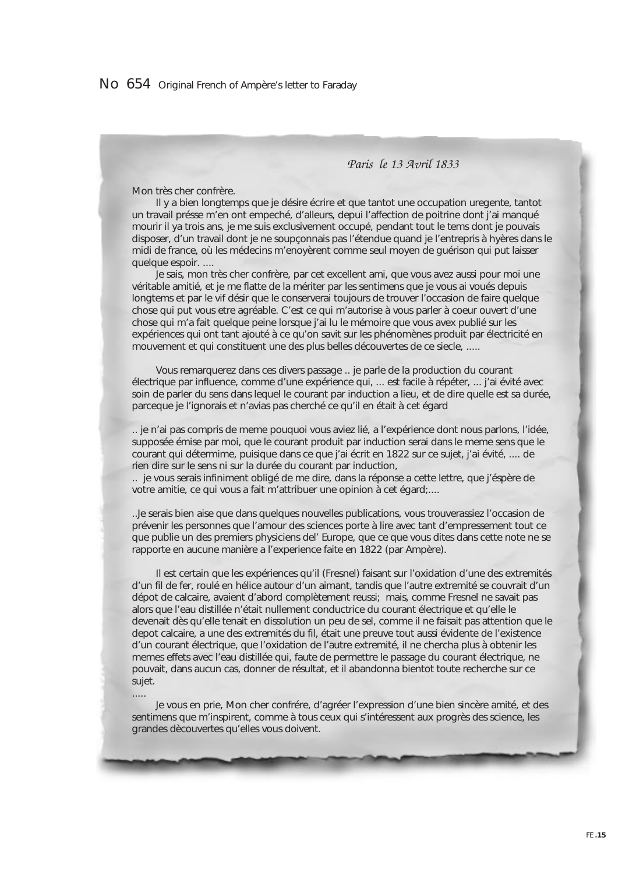Paris le 13 Avril 1833

Mon très cher confrère.

.....

Il y a bien longtemps que je désire écrire et que tantot une occupation uregente, tantot un travail présse m'en ont empeché, d'alleurs, depui l'affection de poitrine dont j'ai manqué mourir il ya trois ans, je me suis exclusivement occupé, pendant tout le tems dont je pouvais disposer, d'un travail dont je ne soupçonnais pas l'étendue quand je l'entrepris à hyères dans le midi de france, où les médecins m'enoyèrent comme seul moyen de guérison qui put laisser quelque espoir. ....

Je sais, mon très cher confrère, par cet excellent ami, que vous avez aussi pour moi une véritable amitié, et je me flatte de la mériter par les sentimens que je vous ai voués depuis longtems et par le vif désir que le conserverai toujours de trouver l'occasion de faire quelque chose qui put vous etre agréable. C'est ce qui m'autorise à vous parler à coeur ouvert d'une chose qui m'a fait quelque peine lorsque j'ai lu le mémoire que vous avex publié sur les expériences qui ont tant ajouté à ce qu'on savit sur les phénomènes produit par électricité en mouvement et qui constituent une des plus belles découvertes de ce siecle, .....

Vous remarquerez dans ces divers passage .. je parle de la production du courant électrique par influence, comme d'une expérience qui, ... est facile à répéter, ... j'ai évité avec soin de parler du sens dans lequel le courant par induction a lieu, et de dire quelle est sa durée, parceque je l'ignorais et n'avias pas cherché ce qu'il en était à cet égard

.. je n'ai pas compris de meme pouquoi vous aviez lié, a l'expérience dont nous parlons, l'idée, supposée émise par moi, que le courant produit par induction serai dans le meme sens que le courant qui détermime, puisique dans ce que j'ai écrit en 1822 sur ce sujet, j'ai évité, .... de rien dire sur le sens ni sur la durée du courant par induction,

.. je vous serais infiniment obligé de me dire, dans la réponse a cette lettre, que j'éspère de votre amitie, ce qui vous a fait m'attribuer une opinion à cet égard;....

..Je serais bien aise que dans quelques nouvelles publications, vous trouverassiez l'occasion de prévenir les personnes que l'amour des sciences porte à lire avec tant d'empressement tout ce que publie un des premiers physiciens del' Europe, que ce que vous dites dans cette note ne se rapporte en aucune manière a l'experience faite en 1822 (par Ampère).

Il est certain que les expériences qu'il (Fresnel) faisant sur l'oxidation d'une des extremités d'un fil de fer, roulé en hélice autour d'un aimant, tandis que l'autre extremité se couvrait d'un dépot de calcaire, avaient d'abord complètement reussi; mais, comme Fresnel ne savait pas alors que l'eau distillée n'était nullement conductrice du courant électrique et qu'elle le devenait dès qu'elle tenait en dissolution un peu de sel, comme il ne faisait pas attention que le depot calcaire, a une des extremités du fil, était une preuve tout aussi évidente de l'existence d'un courant électrique, que l'oxidation de l'autre extremité, il ne chercha plus à obtenir les memes effets avec l'eau distillée qui, faute de permettre le passage du courant électrique, ne pouvait, dans aucun cas, donner de résultat, et il abandonna bientot toute recherche sur ce sujet.

Je vous en prie, Mon cher confrére, d'agréer l'expression d'une bien sincère amité, et des sentimens que m'inspirent, comme à tous ceux qui s'intéressent aux progrès des science, les grandes dècouvertes qu'elles vous doivent.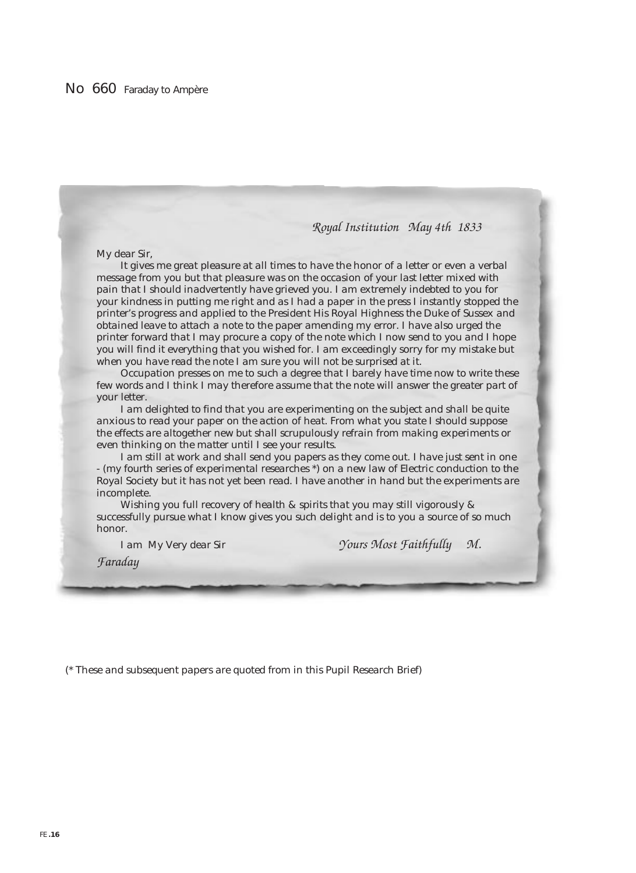#### Royal Institution May 4th 1833

My dear Sir,

It gives me great pleasure at all times to have the honor of a letter or even a verbal message from you but that pleasure was on the occasion of your last letter mixed with pain that I should inadvertently have grieved you. I am extremely indebted to you for your kindness in putting me right and as I had a paper in the press I instantly stopped the printer's progress and applied to the President His Royal Highness the Duke of Sussex and obtained leave to attach a note to the paper amending my error. I have also urged the printer forward that I may procure a copy of the note which I now send to you and I hope you will find it everything that you wished for. I am exceedingly sorry for my mistake but when you have read the note I am sure you will not be surprised at it.

Occupation presses on me to such a degree that I barely have time now to write these few words and I think I may therefore assume that the note will answer the greater part of your letter.

I am delighted to find that you are experimenting on the subject and shall be quite anxious to read your paper on the action of heat. From what you state I should suppose the effects are altogether new but shall scrupulously refrain from making experiments or even thinking on the matter until I see your results.

I am still at work and shall send you papers as they come out. I have just sent in one - (my fourth series of experimental researches \*) on a new law of Electric conduction to the Royal Society but it has not yet been read. I have another in hand but the experiments are incomplete.

Wishing you full recovery of health & spirits that you may still vigorously & successfully pursue what I know gives you such delight and is to you a source of so much honor.

I am My Very dear Sir *Yours Most Faithfully M.* 

Faraday

(\* These and subsequent papers are quoted from in this Pupil Research Brief)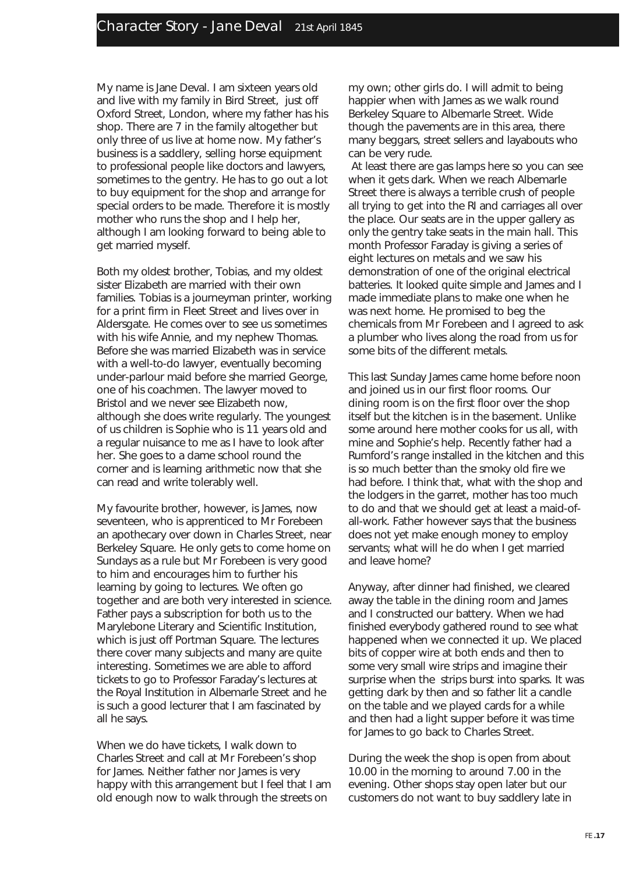My name is Jane Deval. I am sixteen years old and live with my family in Bird Street, just off Oxford Street, London, where my father has his shop. There are 7 in the family altogether but only three of us live at home now. My father's business is a saddlery, selling horse equipment to professional people like doctors and lawyers, sometimes to the gentry. He has to go out a lot to buy equipment for the shop and arrange for special orders to be made. Therefore it is mostly mother who runs the shop and I help her, although I am looking forward to being able to get married myself.

Both my oldest brother, Tobias, and my oldest sister Elizabeth are married with their own families. Tobias is a journeyman printer, working for a print firm in Fleet Street and lives over in Aldersgate. He comes over to see us sometimes with his wife Annie, and my nephew Thomas. Before she was married Elizabeth was in service with a well-to-do lawyer, eventually becoming under-parlour maid before she married George, one of his coachmen. The lawyer moved to Bristol and we never see Elizabeth now, although she does write regularly. The youngest of us children is Sophie who is 11 years old and a regular nuisance to me as I have to look after her. She goes to a dame school round the corner and is learning arithmetic now that she can read and write tolerably well.

My favourite brother, however, is James, now seventeen, who is apprenticed to Mr Forebeen an apothecary over down in Charles Street, near Berkeley Square. He only gets to come home on Sundays as a rule but Mr Forebeen is very good to him and encourages him to further his learning by going to lectures. We often go together and are both very interested in science. Father pays a subscription for both us to the Marylebone Literary and Scientific Institution, which is just off Portman Square. The lectures there cover many subjects and many are quite interesting. Sometimes we are able to afford tickets to go to Professor Faraday's lectures at the Royal Institution in Albemarle Street and he is such a good lecturer that I am fascinated by all he says.

When we do have tickets, I walk down to Charles Street and call at Mr Forebeen's shop for James. Neither father nor James is very happy with this arrangement but I feel that I am old enough now to walk through the streets on

my own; other girls do. I will admit to being happier when with James as we walk round Berkeley Square to Albemarle Street. Wide though the pavements are in this area, there many beggars, street sellers and layabouts who can be very rude.

At least there are gas lamps here so you can see when it gets dark. When we reach Albemarle Street there is always a terrible crush of people all trying to get into the RI and carriages all over the place. Our seats are in the upper gallery as only the gentry take seats in the main hall. This month Professor Faraday is giving a series of eight lectures on metals and we saw his demonstration of one of the original electrical batteries. It looked quite simple and James and I made immediate plans to make one when he was next home. He promised to beg the chemicals from Mr Forebeen and I agreed to ask a plumber who lives along the road from us for some bits of the different metals.

This last Sunday James came home before noon and joined us in our first floor rooms. Our dining room is on the first floor over the shop itself but the kitchen is in the basement. Unlike some around here mother cooks for us all, with mine and Sophie's help. Recently father had a Rumford's range installed in the kitchen and this is so much better than the smoky old fire we had before. I think that, what with the shop and the lodgers in the garret, mother has too much to do and that we should get at least a maid-ofall-work. Father however says that the business does not yet make enough money to employ servants; what will he do when I get married and leave home?

Anyway, after dinner had finished, we cleared away the table in the dining room and James and I constructed our battery. When we had finished everybody gathered round to see what happened when we connected it up. We placed bits of copper wire at both ends and then to some very small wire strips and imagine their surprise when the strips burst into sparks. It was getting dark by then and so father lit a candle on the table and we played cards for a while and then had a light supper before it was time for James to go back to Charles Street.

During the week the shop is open from about 10.00 in the morning to around 7.00 in the evening. Other shops stay open later but our customers do not want to buy saddlery late in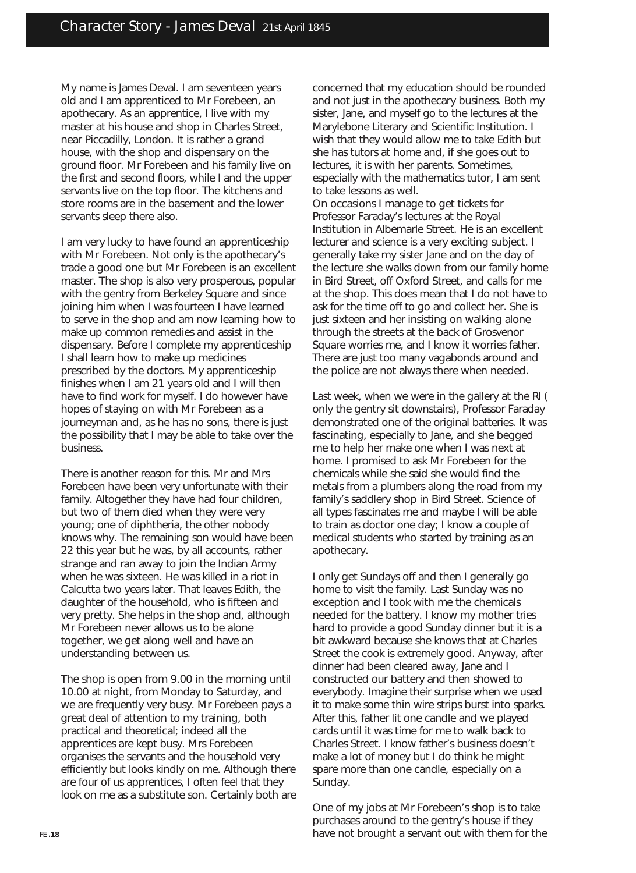My name is James Deval. I am seventeen years old and I am apprenticed to Mr Forebeen, an apothecary. As an apprentice, I live with my master at his house and shop in Charles Street, near Piccadilly, London. It is rather a grand house, with the shop and dispensary on the ground floor. Mr Forebeen and his family live on the first and second floors, while I and the upper servants live on the top floor. The kitchens and store rooms are in the basement and the lower servants sleep there also.

I am very lucky to have found an apprenticeship with Mr Forebeen. Not only is the apothecary's trade a good one but Mr Forebeen is an excellent master. The shop is also very prosperous, popular with the gentry from Berkeley Square and since joining him when I was fourteen I have learned to serve in the shop and am now learning how to make up common remedies and assist in the dispensary. Before I complete my apprenticeship I shall learn how to make up medicines prescribed by the doctors. My apprenticeship finishes when I am 21 years old and I will then have to find work for myself. I do however have hopes of staying on with Mr Forebeen as a journeyman and, as he has no sons, there is just the possibility that I may be able to take over the business.

There is another reason for this. Mr and Mrs Forebeen have been very unfortunate with their family. Altogether they have had four children, but two of them died when they were very young; one of diphtheria, the other nobody knows why. The remaining son would have been 22 this year but he was, by all accounts, rather strange and ran away to join the Indian Army when he was sixteen. He was killed in a riot in Calcutta two years later. That leaves Edith, the daughter of the household, who is fifteen and very pretty. She helps in the shop and, although Mr Forebeen never allows us to be alone together, we get along well and have an understanding between us.

The shop is open from 9.00 in the morning until 10.00 at night, from Monday to Saturday, and we are frequently very busy. Mr Forebeen pays a great deal of attention to my training, both practical and theoretical; indeed all the apprentices are kept busy. Mrs Forebeen organises the servants and the household very efficiently but looks kindly on me. Although there are four of us apprentices, I often feel that they look on me as a substitute son. Certainly both are concerned that my education should be rounded and not just in the apothecary business. Both my sister, Jane, and myself go to the lectures at the Marylebone Literary and Scientific Institution. I wish that they would allow me to take Edith but she has tutors at home and, if she goes out to lectures, it is with her parents. Sometimes, especially with the mathematics tutor, I am sent to take lessons as well.

On occasions I manage to get tickets for Professor Faraday's lectures at the Royal Institution in Albemarle Street. He is an excellent lecturer and science is a very exciting subject. I generally take my sister Jane and on the day of the lecture she walks down from our family home in Bird Street, off Oxford Street, and calls for me at the shop. This does mean that I do not have to ask for the time off to go and collect her. She is just sixteen and her insisting on walking alone through the streets at the back of Grosvenor Square worries me, and I know it worries father. There are just too many vagabonds around and the police are not always there when needed.

Last week, when we were in the gallery at the RI ( only the gentry sit downstairs), Professor Faraday demonstrated one of the original batteries. It was fascinating, especially to Jane, and she begged me to help her make one when I was next at home. I promised to ask Mr Forebeen for the chemicals while she said she would find the metals from a plumbers along the road from my family's saddlery shop in Bird Street. Science of all types fascinates me and maybe I will be able to train as doctor one day; I know a couple of medical students who started by training as an apothecary.

I only get Sundays off and then I generally go home to visit the family. Last Sunday was no exception and I took with me the chemicals needed for the battery. I know my mother tries hard to provide a good Sunday dinner but it is a bit awkward because she knows that at Charles Street the cook is extremely good. Anyway, after dinner had been cleared away, Jane and I constructed our battery and then showed to everybody. Imagine their surprise when we used it to make some thin wire strips burst into sparks. After this, father lit one candle and we played cards until it was time for me to walk back to Charles Street. I know father's business doesn't make a lot of money but I do think he might spare more than one candle, especially on a Sunday.

One of my jobs at Mr Forebeen's shop is to take purchases around to the gentry's house if they have not brought a servant out with them for the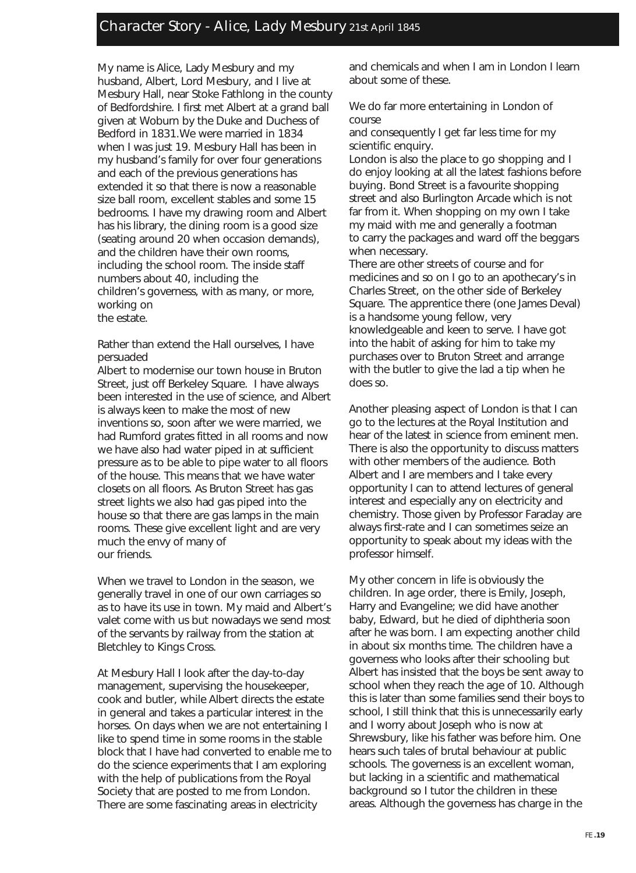### Character Story - Alice, Lady Mesbury 21st April 1845

My name is Alice, Lady Mesbury and my husband, Albert, Lord Mesbury, and I live at Mesbury Hall, near Stoke Fathlong in the county of Bedfordshire. I first met Albert at a grand ball given at Woburn by the Duke and Duchess of Bedford in 1831.We were married in 1834 when I was just 19. Mesbury Hall has been in my husband's family for over four generations and each of the previous generations has extended it so that there is now a reasonable size ball room, excellent stables and some 15 bedrooms. I have my drawing room and Albert has his library, the dining room is a good size (seating around 20 when occasion demands), and the children have their own rooms, including the school room. The inside staff numbers about 40, including the children's governess, with as many, or more, working on the estate.

Rather than extend the Hall ourselves, I have persuaded

Albert to modernise our town house in Bruton Street, just off Berkeley Square. I have always been interested in the use of science, and Albert is always keen to make the most of new inventions so, soon after we were married, we had Rumford grates fitted in all rooms and now we have also had water piped in at sufficient pressure as to be able to pipe water to all floors of the house. This means that we have water closets on all floors. As Bruton Street has gas street lights we also had gas piped into the house so that there are gas lamps in the main rooms. These give excellent light and are very much the envy of many of our friends.

When we travel to London in the season, we generally travel in one of our own carriages so as to have its use in town. My maid and Albert's valet come with us but nowadays we send most of the servants by railway from the station at Bletchley to Kings Cross.

At Mesbury Hall I look after the day-to-day management, supervising the housekeeper, cook and butler, while Albert directs the estate in general and takes a particular interest in the horses. On days when we are not entertaining I like to spend time in some rooms in the stable block that I have had converted to enable me to do the science experiments that I am exploring with the help of publications from the Royal Society that are posted to me from London. There are some fascinating areas in electricity

and chemicals and when I am in London I learn about some of these.

We do far more entertaining in London of course

and consequently I get far less time for my scientific enquiry.

London is also the place to go shopping and I do enjoy looking at all the latest fashions before buying. Bond Street is a favourite shopping street and also Burlington Arcade which is not far from it. When shopping on my own I take my maid with me and generally a footman to carry the packages and ward off the beggars when necessary.

There are other streets of course and for medicines and so on I go to an apothecary's in Charles Street, on the other side of Berkeley Square. The apprentice there (one James Deval) is a handsome young fellow, very knowledgeable and keen to serve. I have got into the habit of asking for him to take my purchases over to Bruton Street and arrange with the butler to give the lad a tip when he does so.

Another pleasing aspect of London is that I can go to the lectures at the Royal Institution and hear of the latest in science from eminent men. There is also the opportunity to discuss matters with other members of the audience. Both Albert and I are members and I take every opportunity I can to attend lectures of general interest and especially any on electricity and chemistry. Those given by Professor Faraday are always first-rate and I can sometimes seize an opportunity to speak about my ideas with the professor himself.

My other concern in life is obviously the children. In age order, there is Emily, Joseph, Harry and Evangeline; we did have another baby, Edward, but he died of diphtheria soon after he was born. I am expecting another child in about six months time. The children have a governess who looks after their schooling but Albert has insisted that the boys be sent away to school when they reach the age of 10. Although this is later than some families send their boys to school, I still think that this is unnecessarily early and I worry about Joseph who is now at Shrewsbury, like his father was before him. One hears such tales of brutal behaviour at public schools. The governess is an excellent woman, but lacking in a scientific and mathematical background so I tutor the children in these areas. Although the governess has charge in the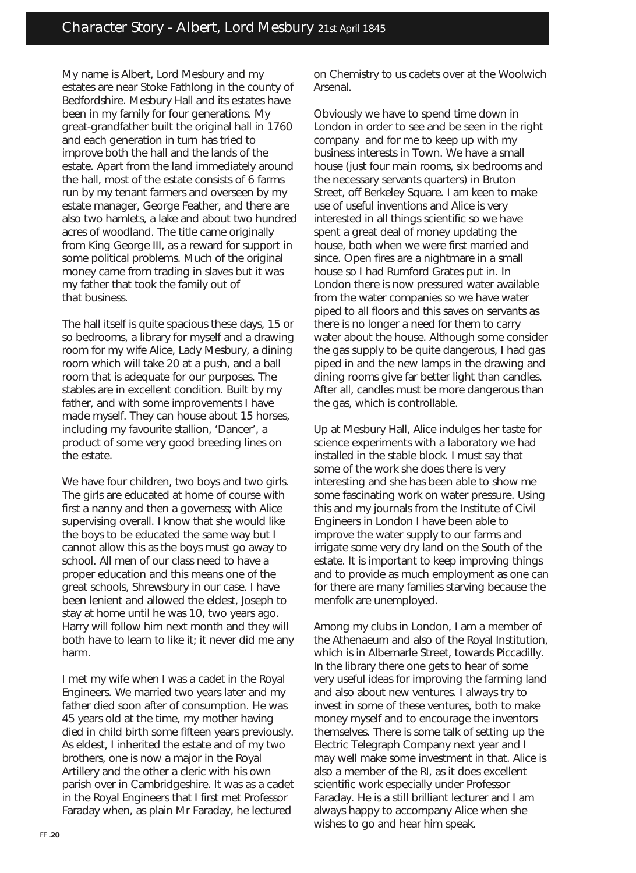My name is Albert, Lord Mesbury and my estates are near Stoke Fathlong in the county of Bedfordshire. Mesbury Hall and its estates have been in my family for four generations. My great-grandfather built the original hall in 1760 and each generation in turn has tried to improve both the hall and the lands of the estate. Apart from the land immediately around the hall, most of the estate consists of 6 farms run by my tenant farmers and overseen by my estate manager, George Feather, and there are also two hamlets, a lake and about two hundred acres of woodland. The title came originally from King George III, as a reward for support in some political problems. Much of the original money came from trading in slaves but it was my father that took the family out of that business.

The hall itself is quite spacious these days, 15 or so bedrooms, a library for myself and a drawing room for my wife Alice, Lady Mesbury, a dining room which will take 20 at a push, and a ball room that is adequate for our purposes. The stables are in excellent condition. Built by my father, and with some improvements I have made myself. They can house about 15 horses, including my favourite stallion, 'Dancer', a product of some very good breeding lines on the estate.

We have four children, two boys and two girls. The girls are educated at home of course with first a nanny and then a governess; with Alice supervising overall. I know that she would like the boys to be educated the same way but I cannot allow this as the boys must go away to school. All men of our class need to have a proper education and this means one of the great schools, Shrewsbury in our case. I have been lenient and allowed the eldest, Joseph to stay at home until he was 10, two years ago. Harry will follow him next month and they will both have to learn to like it; it never did me any harm.

I met my wife when I was a cadet in the Royal Engineers. We married two years later and my father died soon after of consumption. He was 45 years old at the time, my mother having died in child birth some fifteen years previously. As eldest, I inherited the estate and of my two brothers, one is now a major in the Royal Artillery and the other a cleric with his own parish over in Cambridgeshire. It was as a cadet in the Royal Engineers that I first met Professor Faraday when, as plain Mr Faraday, he lectured

on Chemistry to us cadets over at the Woolwich Arsenal.

Obviously we have to spend time down in London in order to see and be seen in the right company and for me to keep up with my business interests in Town. We have a small house (just four main rooms, six bedrooms and the necessary servants quarters) in Bruton Street, off Berkeley Square. I am keen to make use of useful inventions and Alice is very interested in all things scientific so we have spent a great deal of money updating the house, both when we were first married and since. Open fires are a nightmare in a small house so I had Rumford Grates put in. In London there is now pressured water available from the water companies so we have water piped to all floors and this saves on servants as there is no longer a need for them to carry water about the house. Although some consider the gas supply to be quite dangerous, I had gas piped in and the new lamps in the drawing and dining rooms give far better light than candles. After all, candles must be more dangerous than the gas, which is controllable.

Up at Mesbury Hall, Alice indulges her taste for science experiments with a laboratory we had installed in the stable block. I must say that some of the work she does there is very interesting and she has been able to show me some fascinating work on water pressure. Using this and my journals from the Institute of Civil Engineers in London I have been able to improve the water supply to our farms and irrigate some very dry land on the South of the estate. It is important to keep improving things and to provide as much employment as one can for there are many families starving because the menfolk are unemployed.

Among my clubs in London, I am a member of the Athenaeum and also of the Royal Institution, which is in Albemarle Street, towards Piccadilly. In the library there one gets to hear of some very useful ideas for improving the farming land and also about new ventures. I always try to invest in some of these ventures, both to make money myself and to encourage the inventors themselves. There is some talk of setting up the Electric Telegraph Company next year and I may well make some investment in that. Alice is also a member of the RI, as it does excellent scientific work especially under Professor Faraday. He is a still brilliant lecturer and I am always happy to accompany Alice when she wishes to go and hear him speak.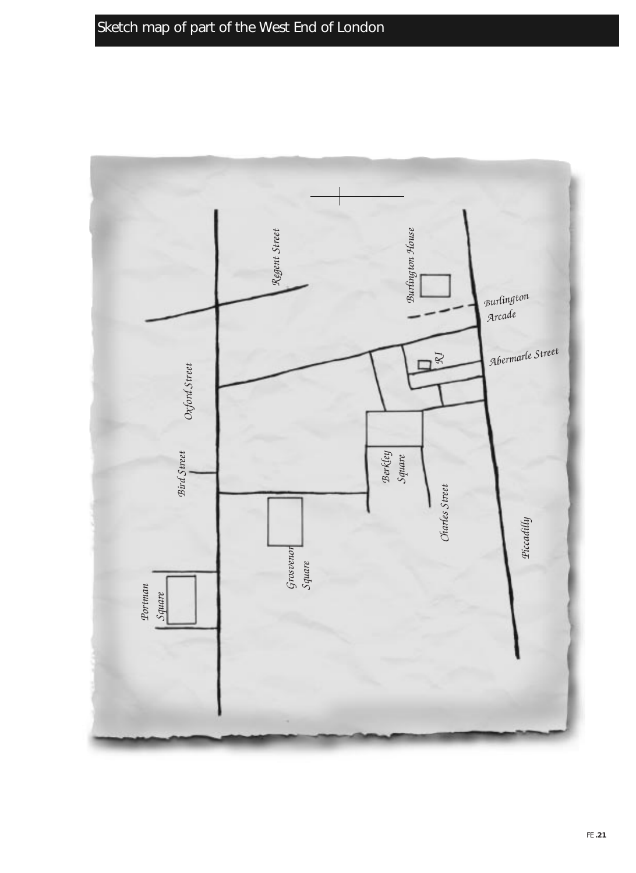